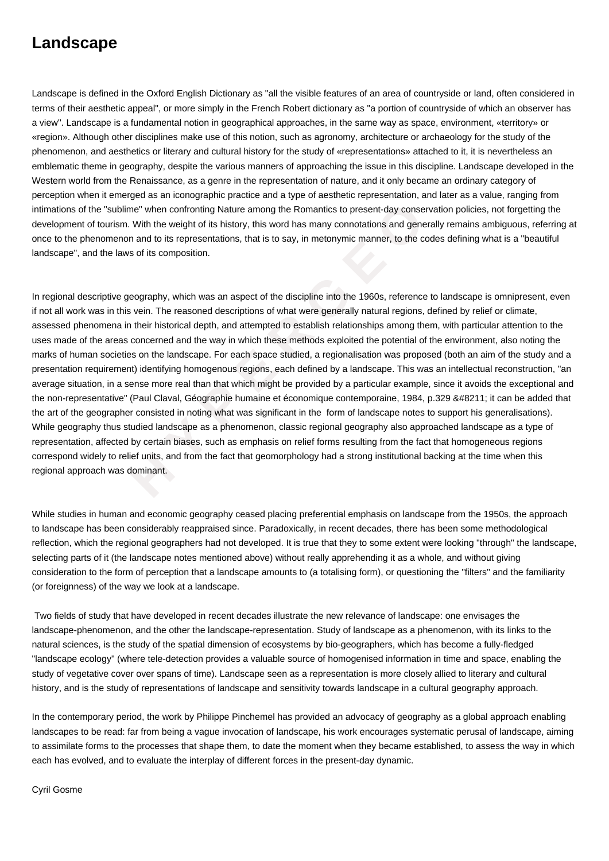## **Landscape**

Landscape is defined in the Oxford English Dictionary as "all the visible features of an area of countryside or land, often considered in terms of their aesthetic appeal", or more simply in the French Robert dictionary as "a portion of countryside of which an observer has a view". Landscape is a fundamental notion in geographical approaches, in the same way as space, environment, «territory» or «region». Although other disciplines make use of this notion, such as agronomy, architecture or archaeology for the study of the phenomenon, and aesthetics or literary and cultural history for the study of «representations» attached to it, it is nevertheless an emblematic theme in geography, despite the various manners of approaching the issue in this discipline. Landscape developed in the Western world from the Renaissance, as a genre in the representation of nature, and it only became an ordinary category of perception when it emerged as an iconographic practice and a type of aesthetic representation, and later as a value, ranging from intimations of the "sublime" when confronting Nature among the Romantics to present-day conservation policies, not forgetting the development of tourism. With the weight of its history, this word has many connotations and generally remains ambiguous, referring at once to the phenomenon and to its representations, that is to say, in metonymic manner, to the codes defining what is a "beautiful landscape", and the laws of its composition.

"sublime" when confronting Nature among the Romantics to present-day conservations". With the weight of its history, this word has many connotations and generall!<br>
Imenon and to its representations, that is to say, in meto In regional descriptive geography, which was an aspect of the discipline into the 1960s, reference to landscape is omnipresent, even if not all work was in this vein. The reasoned descriptions of what were generally natural regions, defined by relief or climate, assessed phenomena in their historical depth, and attempted to establish relationships among them, with particular attention to the uses made of the areas concerned and the way in which these methods exploited the potential of the environment, also noting the marks of human societies on the landscape. For each space studied, a regionalisation was proposed (both an aim of the study and a presentation requirement) identifying homogenous regions, each defined by a landscape. This was an intellectual reconstruction, "an average situation, in a sense more real than that which might be provided by a particular example, since it avoids the exceptional and the non-representative" (Paul Claval, Géographie humaine et économique contemporaine, 1984, p.329 – it can be added that the art of the geographer consisted in noting what was significant in the form of landscape notes to support his generalisations). While geography thus studied landscape as a phenomenon, classic regional geography also approached landscape as a type of representation, affected by certain biases, such as emphasis on relief forms resulting from the fact that homogeneous regions correspond widely to relief units, and from the fact that geomorphology had a strong institutional backing at the time when this regional approach was dominant.

While studies in human and economic geography ceased placing preferential emphasis on landscape from the 1950s, the approach to landscape has been considerably reappraised since. Paradoxically, in recent decades, there has been some methodological reflection, which the regional geographers had not developed. It is true that they to some extent were looking "through" the landscape, selecting parts of it (the landscape notes mentioned above) without really apprehending it as a whole, and without giving consideration to the form of perception that a landscape amounts to (a totalising form), or questioning the "filters" and the familiarity (or foreignness) of the way we look at a landscape.

 Two fields of study that have developed in recent decades illustrate the new relevance of landscape: one envisages the landscape-phenomenon, and the other the landscape-representation. Study of landscape as a phenomenon, with its links to the natural sciences, is the study of the spatial dimension of ecosystems by bio-geographers, which has become a fully-fledged "landscape ecology" (where tele-detection provides a valuable source of homogenised information in time and space, enabling the study of vegetative cover over spans of time). Landscape seen as a representation is more closely allied to literary and cultural history, and is the study of representations of landscape and sensitivity towards landscape in a cultural geography approach.

In the contemporary period, the work by Philippe Pinchemel has provided an advocacy of geography as a global approach enabling landscapes to be read: far from being a vague invocation of landscape, his work encourages systematic perusal of landscape, aiming to assimilate forms to the processes that shape them, to date the moment when they became established, to assess the way in which each has evolved, and to evaluate the interplay of different forces in the present-day dynamic.

Cyril Gosme